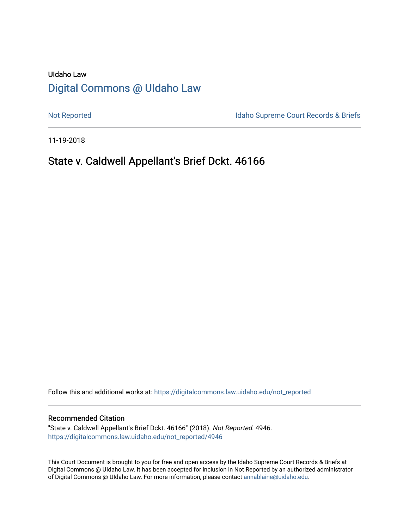# UIdaho Law [Digital Commons @ UIdaho Law](https://digitalcommons.law.uidaho.edu/)

[Not Reported](https://digitalcommons.law.uidaho.edu/not_reported) **Idaho Supreme Court Records & Briefs** 

11-19-2018

# State v. Caldwell Appellant's Brief Dckt. 46166

Follow this and additional works at: [https://digitalcommons.law.uidaho.edu/not\\_reported](https://digitalcommons.law.uidaho.edu/not_reported?utm_source=digitalcommons.law.uidaho.edu%2Fnot_reported%2F4946&utm_medium=PDF&utm_campaign=PDFCoverPages) 

#### Recommended Citation

"State v. Caldwell Appellant's Brief Dckt. 46166" (2018). Not Reported. 4946. [https://digitalcommons.law.uidaho.edu/not\\_reported/4946](https://digitalcommons.law.uidaho.edu/not_reported/4946?utm_source=digitalcommons.law.uidaho.edu%2Fnot_reported%2F4946&utm_medium=PDF&utm_campaign=PDFCoverPages)

This Court Document is brought to you for free and open access by the Idaho Supreme Court Records & Briefs at Digital Commons @ UIdaho Law. It has been accepted for inclusion in Not Reported by an authorized administrator of Digital Commons @ UIdaho Law. For more information, please contact [annablaine@uidaho.edu](mailto:annablaine@uidaho.edu).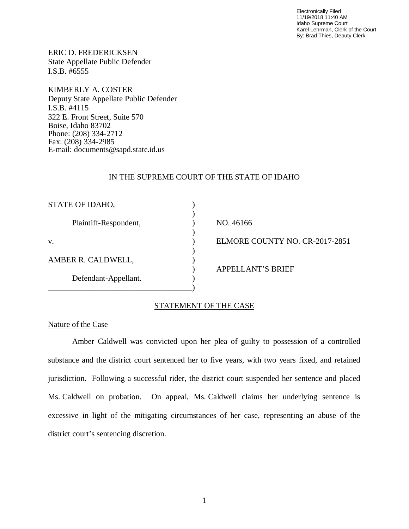Electronically Filed 11/19/2018 11:40 AM Idaho Supreme Court Karel Lehrman, Clerk of the Court By: Brad Thies, Deputy Clerk

ERIC D. FREDERICKSEN State Appellate Public Defender I.S.B. #6555

KIMBERLY A. COSTER Deputy State Appellate Public Defender I.S.B. #4115 322 E. Front Street, Suite 570 Boise, Idaho 83702 Phone: (208) 334-2712 Fax: (208) 334-2985 E-mail: documents@sapd.state.id.us

### IN THE SUPREME COURT OF THE STATE OF IDAHO

| STATE OF IDAHO,       |                                |
|-----------------------|--------------------------------|
| Plaintiff-Respondent, | NO. 46166                      |
| V.                    | ELMORE COUNTY NO. CR-2017-2851 |
| AMBER R. CALDWELL,    | <b>APPELLANT'S BRIEF</b>       |
| Defendant-Appellant.  |                                |

## STATEMENT OF THE CASE

#### Nature of the Case

Amber Caldwell was convicted upon her plea of guilty to possession of a controlled substance and the district court sentenced her to five years, with two years fixed, and retained jurisdiction. Following a successful rider, the district court suspended her sentence and placed Ms. Caldwell on probation. On appeal, Ms. Caldwell claims her underlying sentence is excessive in light of the mitigating circumstances of her case, representing an abuse of the district court's sentencing discretion.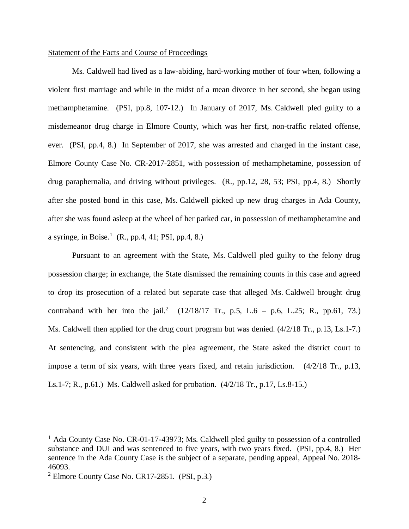#### Statement of the Facts and Course of Proceedings

Ms. Caldwell had lived as a law-abiding, hard-working mother of four when, following a violent first marriage and while in the midst of a mean divorce in her second, she began using methamphetamine. (PSI, pp.8, 107-12.) In January of 2017, Ms. Caldwell pled guilty to a misdemeanor drug charge in Elmore County, which was her first, non-traffic related offense, ever. (PSI, pp.4, 8.) In September of 2017, she was arrested and charged in the instant case, Elmore County Case No. CR-2017-2851, with possession of methamphetamine, possession of drug paraphernalia, and driving without privileges. (R., pp.12, 28, 53; PSI, pp.4, 8.) Shortly after she posted bond in this case, Ms. Caldwell picked up new drug charges in Ada County, after she was found asleep at the wheel of her parked car, in possession of methamphetamine and a syringe, in Boise.<sup>[1](#page-2-0)</sup> (R., pp.4, 41; PSI, pp.4, 8.)

Pursuant to an agreement with the State, Ms. Caldwell pled guilty to the felony drug possession charge; in exchange, the State dismissed the remaining counts in this case and agreed to drop its prosecution of a related but separate case that alleged Ms. Caldwell brought drug contraband with her into the jail.<sup>[2](#page-2-1)</sup> (12/18/17 Tr., p.5, L.6 – p.6, L.25; R., pp.61, 73.) Ms. Caldwell then applied for the drug court program but was denied. (4/2/18 Tr., p.13, Ls.1-7.) At sentencing, and consistent with the plea agreement, the State asked the district court to impose a term of six years, with three years fixed, and retain jurisdiction. (4/2/18 Tr., p.13, Ls.1-7; R., p.61.) Ms. Caldwell asked for probation. (4/2/18 Tr., p.17, Ls.8-15.)

<span id="page-2-0"></span><sup>&</sup>lt;sup>1</sup> Ada County Case No. CR-01-17-43973; Ms. Caldwell pled guilty to possession of a controlled substance and DUI and was sentenced to five years, with two years fixed. (PSI, pp.4, 8.) Her sentence in the Ada County Case is the subject of a separate, pending appeal, Appeal No. 2018-46093.

<span id="page-2-1"></span> $2$  Elmore County Case No. CR17-2851. (PSI, p.3.)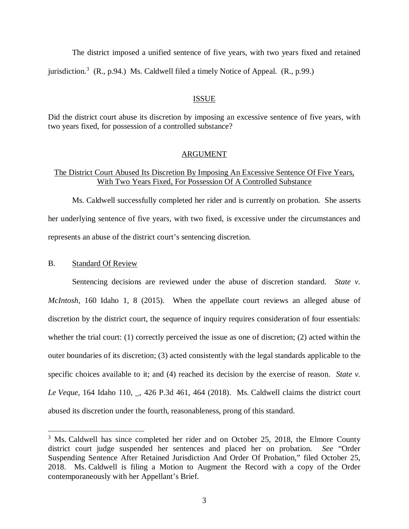The district imposed a unified sentence of five years, with two years fixed and retained jurisdiction.<sup>[3](#page-3-0)</sup> (R., p.94.) Ms. Caldwell filed a timely Notice of Appeal. (R., p.99.)

#### ISSUE

Did the district court abuse its discretion by imposing an excessive sentence of five years, with two years fixed, for possession of a controlled substance?

#### ARGUMENT

## The District Court Abused Its Discretion By Imposing An Excessive Sentence Of Five Years, With Two Years Fixed, For Possession Of A Controlled Substance

Ms. Caldwell successfully completed her rider and is currently on probation. She asserts her underlying sentence of five years, with two fixed, is excessive under the circumstances and represents an abuse of the district court's sentencing discretion.

#### B. Standard Of Review

Sentencing decisions are reviewed under the abuse of discretion standard. *State v. McIntosh*, 160 Idaho 1, 8 (2015). When the appellate court reviews an alleged abuse of discretion by the district court, the sequence of inquiry requires consideration of four essentials: whether the trial court: (1) correctly perceived the issue as one of discretion; (2) acted within the outer boundaries of its discretion; (3) acted consistently with the legal standards applicable to the specific choices available to it; and (4) reached its decision by the exercise of reason. *State v. Le Veque*, 164 Idaho 110, \_, 426 P.3d 461, 464 (2018). Ms. Caldwell claims the district court abused its discretion under the fourth, reasonableness, prong of this standard.

<span id="page-3-0"></span> $3$  Ms. Caldwell has since completed her rider and on October 25, 2018, the Elmore County district court judge suspended her sentences and placed her on probation. *See* "Order Suspending Sentence After Retained Jurisdiction And Order Of Probation," filed October 25, 2018. Ms. Caldwell is filing a Motion to Augment the Record with a copy of the Order contemporaneously with her Appellant's Brief.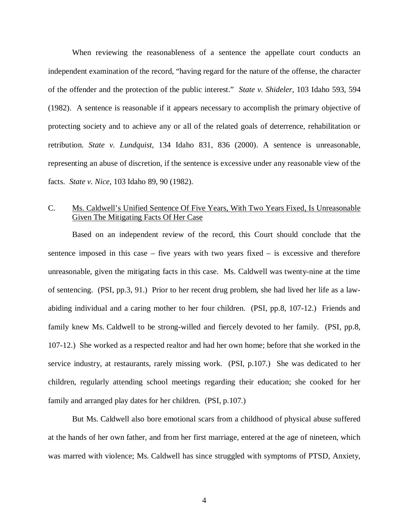When reviewing the reasonableness of a sentence the appellate court conducts an independent examination of the record, "having regard for the nature of the offense, the character of the offender and the protection of the public interest." *State v. Shideler*, 103 Idaho 593, 594 (1982). A sentence is reasonable if it appears necessary to accomplish the primary objective of protecting society and to achieve any or all of the related goals of deterrence, rehabilitation or retribution. *State v. Lundquist*, 134 Idaho 831, 836 (2000). A sentence is unreasonable, representing an abuse of discretion, if the sentence is excessive under any reasonable view of the facts. *State v. Nice*, 103 Idaho 89, 90 (1982).

## C. Ms. Caldwell's Unified Sentence Of Five Years, With Two Years Fixed, Is Unreasonable Given The Mitigating Facts Of Her Case

Based on an independent review of the record, this Court should conclude that the sentence imposed in this case – five years with two years fixed – is excessive and therefore unreasonable, given the mitigating facts in this case. Ms. Caldwell was twenty-nine at the time of sentencing. (PSI, pp.3, 91.) Prior to her recent drug problem, she had lived her life as a lawabiding individual and a caring mother to her four children. (PSI, pp.8, 107-12.) Friends and family knew Ms. Caldwell to be strong-willed and fiercely devoted to her family. (PSI, pp.8, 107-12.) She worked as a respected realtor and had her own home; before that she worked in the service industry, at restaurants, rarely missing work. (PSI, p.107.) She was dedicated to her children, regularly attending school meetings regarding their education; she cooked for her family and arranged play dates for her children. (PSI, p.107.)

But Ms. Caldwell also bore emotional scars from a childhood of physical abuse suffered at the hands of her own father, and from her first marriage, entered at the age of nineteen, which was marred with violence; Ms. Caldwell has since struggled with symptoms of PTSD, Anxiety,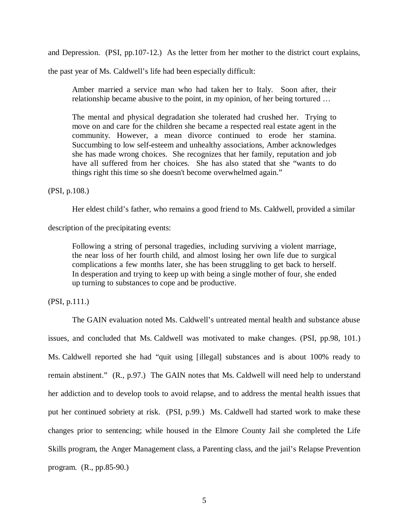and Depression. (PSI, pp.107-12.) As the letter from her mother to the district court explains,

the past year of Ms. Caldwell's life had been especially difficult:

Amber married a service man who had taken her to Italy. Soon after, their relationship became abusive to the point, in my opinion, of her being tortured …

The mental and physical degradation she tolerated had crushed her. Trying to move on and care for the children she became a respected real estate agent in the community. However, a mean divorce continued to erode her stamina. Succumbing to low self-esteem and unhealthy associations, Amber acknowledges she has made wrong choices. She recognizes that her family, reputation and job have all suffered from her choices. She has also stated that she "wants to do things right this time so she doesn't become overwhelmed again."

(PSI, p.108.)

Her eldest child's father, who remains a good friend to Ms. Caldwell, provided a similar

description of the precipitating events:

Following a string of personal tragedies, including surviving a violent marriage, the near loss of her fourth child, and almost losing her own life due to surgical complications a few months later, she has been struggling to get back to herself. In desperation and trying to keep up with being a single mother of four, she ended up turning to substances to cope and be productive.

(PSI, p.111.)

The GAIN evaluation noted Ms. Caldwell's untreated mental health and substance abuse issues, and concluded that Ms. Caldwell was motivated to make changes. (PSI, pp.98, 101.) Ms. Caldwell reported she had "quit using [illegal] substances and is about 100% ready to remain abstinent." (R., p.97.) The GAIN notes that Ms. Caldwell will need help to understand her addiction and to develop tools to avoid relapse, and to address the mental health issues that put her continued sobriety at risk. (PSI, p.99.) Ms. Caldwell had started work to make these changes prior to sentencing; while housed in the Elmore County Jail she completed the Life Skills program, the Anger Management class, a Parenting class, and the jail's Relapse Prevention program. (R., pp.85-90.)